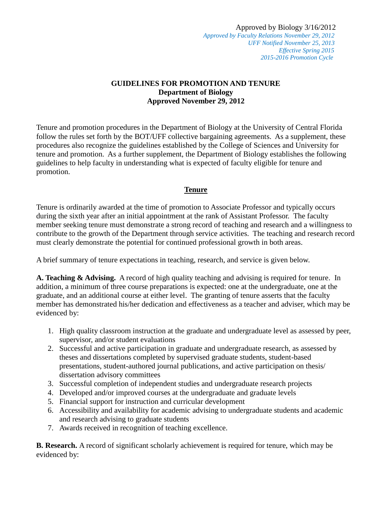Approved by Biology 3/16/2012  *Approved by Faculty Relations November 29, 2012 UFF Notified November 25, 2013 Effective Spring 2015 2015-2016 Promotion Cycle*

## **GUIDELINES FOR PROMOTION AND TENURE Department of Biology Approved November 29, 2012**

Tenure and promotion procedures in the Department of Biology at the University of Central Florida follow the rules set forth by the BOT/UFF collective bargaining agreements. As a supplement, these procedures also recognize the guidelines established by the College of Sciences and University for tenure and promotion. As a further supplement, the Department of Biology establishes the following guidelines to help faculty in understanding what is expected of faculty eligible for tenure and promotion.

# **Tenure**

Tenure is ordinarily awarded at the time of promotion to Associate Professor and typically occurs during the sixth year after an initial appointment at the rank of Assistant Professor. The faculty member seeking tenure must demonstrate a strong record of teaching and research and a willingness to contribute to the growth of the Department through service activities. The teaching and research record must clearly demonstrate the potential for continued professional growth in both areas.

A brief summary of tenure expectations in teaching, research, and service is given below.

**A. Teaching & Advising.** A record of high quality teaching and advising is required for tenure. In addition, a minimum of three course preparations is expected: one at the undergraduate, one at the graduate, and an additional course at either level. The granting of tenure asserts that the faculty member has demonstrated his/her dedication and effectiveness as a teacher and adviser, which may be evidenced by:

- 1. High quality classroom instruction at the graduate and undergraduate level as assessed by peer, supervisor, and/or student evaluations
- 2. Successful and active participation in graduate and undergraduate research, as assessed by theses and dissertations completed by supervised graduate students, student-based presentations, student-authored journal publications, and active participation on thesis/ dissertation advisory committees
- 3. Successful completion of independent studies and undergraduate research projects
- 4. Developed and/or improved courses at the undergraduate and graduate levels
- 5. Financial support for instruction and curricular development
- 6. Accessibility and availability for academic advising to undergraduate students and academic and research advising to graduate students
- 7. Awards received in recognition of teaching excellence.

**B. Research.** A record of significant scholarly achievement is required for tenure, which may be evidenced by: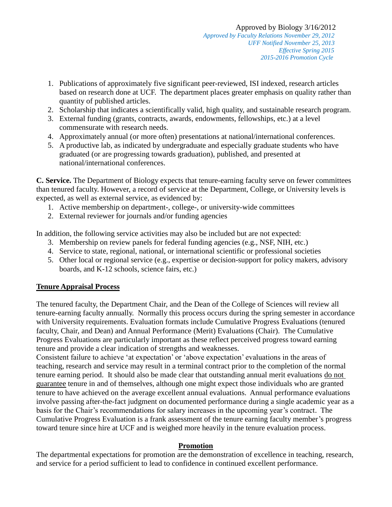- 1. Publications of approximately five significant peer-reviewed, ISI indexed, research articles based on research done at UCF. The department places greater emphasis on quality rather than quantity of published articles.
- 2. Scholarship that indicates a scientifically valid, high quality, and sustainable research program.
- 3. External funding (grants, contracts, awards, endowments, fellowships, etc.) at a level commensurate with research needs.
- 4. Approximately annual (or more often) presentations at national/international conferences.
- 5. A productive lab, as indicated by undergraduate and especially graduate students who have graduated (or are progressing towards graduation), published, and presented at national/international conferences.

**C. Service.** The Department of Biology expects that tenure-earning faculty serve on fewer committees than tenured faculty. However, a record of service at the Department, College, or University levels is expected, as well as external service, as evidenced by:

- 1. Active membership on department-, college-, or university-wide committees
- 2. External reviewer for journals and/or funding agencies

In addition, the following service activities may also be included but are not expected:

- 3. Membership on review panels for federal funding agencies (e.g., NSF, NIH, etc.)
- 4. Service to state, regional, national, or international scientific or professional societies
- 5. Other local or regional service (e.g., expertise or decision-support for policy makers, advisory boards, and K-12 schools, science fairs, etc.)

# **Tenure Appraisal Process**

The tenured faculty, the Department Chair, and the Dean of the College of Sciences will review all tenure-earning faculty annually. Normally this process occurs during the spring semester in accordance with University requirements. Evaluation formats include Cumulative Progress Evaluations (tenured faculty, Chair, and Dean) and Annual Performance (Merit) Evaluations (Chair). The Cumulative Progress Evaluations are particularly important as these reflect perceived progress toward earning tenure and provide a clear indication of strengths and weaknesses.

Consistent failure to achieve 'at expectation' or 'above expectation' evaluations in the areas of teaching, research and service may result in a terminal contract prior to the completion of the normal tenure earning period. It should also be made clear that outstanding annual merit evaluations do not guarantee tenure in and of themselves, although one might expect those individuals who are granted tenure to have achieved on the average excellent annual evaluations. Annual performance evaluations involve passing after-the-fact judgment on documented performance during a single academic year as a basis for the Chair's recommendations for salary increases in the upcoming year's contract. The Cumulative Progress Evaluation is a frank assessment of the tenure earning faculty member's progress toward tenure since hire at UCF and is weighed more heavily in the tenure evaluation process.

## **Promotion**

The departmental expectations for promotion are the demonstration of excellence in teaching, research, and service for a period sufficient to lead to confidence in continued excellent performance.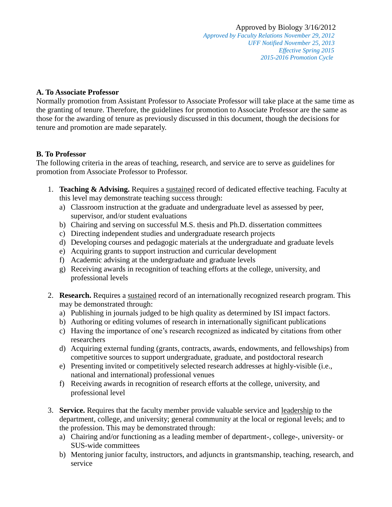*Approved by Faculty Relations November 29, 2012 UFF Notified November 25, 2013 Effective Spring 2015 2015-2016 Promotion Cycle*

### **A. To Associate Professor**

Normally promotion from Assistant Professor to Associate Professor will take place at the same time as the granting of tenure. Therefore, the guidelines for promotion to Associate Professor are the same as those for the awarding of tenure as previously discussed in this document, though the decisions for tenure and promotion are made separately.

### **B. To Professor**

The following criteria in the areas of teaching, research, and service are to serve as guidelines for promotion from Associate Professor to Professor.

- 1. **Teaching & Advising.** Requires a sustained record of dedicated effective teaching. Faculty at this level may demonstrate teaching success through:
	- a) Classroom instruction at the graduate and undergraduate level as assessed by peer, supervisor, and/or student evaluations
	- b) Chairing and serving on successful M.S. thesis and Ph.D. dissertation committees
	- c) Directing independent studies and undergraduate research projects
	- d) Developing courses and pedagogic materials at the undergraduate and graduate levels
	- e) Acquiring grants to support instruction and curricular development
	- f) Academic advising at the undergraduate and graduate levels
	- g) Receiving awards in recognition of teaching efforts at the college, university, and professional levels
- 2. **Research.** Requires a sustained record of an internationally recognized research program. This may be demonstrated through:
	- a) Publishing in journals judged to be high quality as determined by ISI impact factors.
	- b) Authoring or editing volumes of research in internationally significant publications
	- c) Having the importance of one's research recognized as indicated by citations from other researchers
	- d) Acquiring external funding (grants, contracts, awards, endowments, and fellowships) from competitive sources to support undergraduate, graduate, and postdoctoral research
	- e) Presenting invited or competitively selected research addresses at highly-visible (i.e., national and international) professional venues
	- f) Receiving awards in recognition of research efforts at the college, university, and professional level
- 3. **Service.** Requires that the faculty member provide valuable service and leadership to the department, college, and university; general community at the local or regional levels; and to the profession. This may be demonstrated through:
	- a) Chairing and/or functioning as a leading member of department-, college-, university- or SUS-wide committees
	- b) Mentoring junior faculty, instructors, and adjuncts in grantsmanship, teaching, research, and service